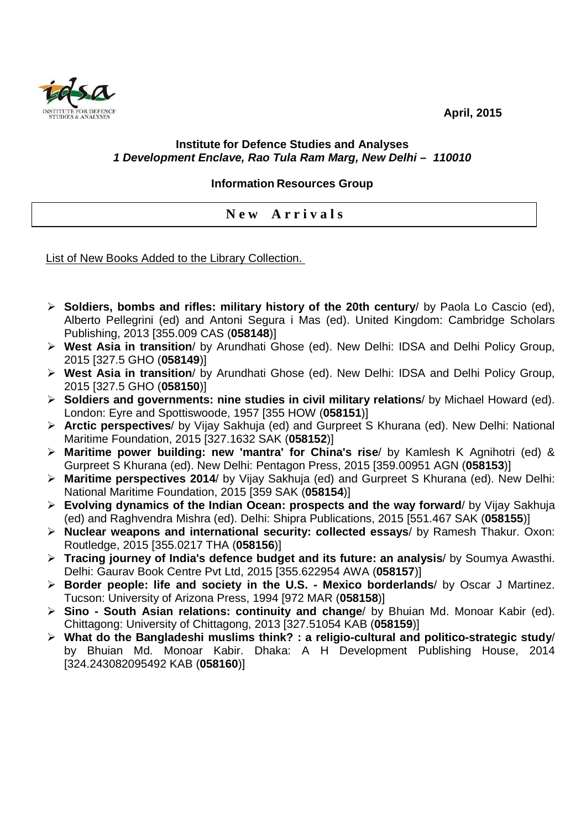**April, 2015** 



## **Institute for Defence Studies and Analyses 1 Development Enclave, Rao Tula Ram Marg, New Delhi – 110010**

## **Information Resources Group**

**N e w A r r i v a l s** 

List of New Books Added to the Library Collection.

- **Soldiers, bombs and rifles: military history of the 20th century**/ by Paola Lo Cascio (ed), Alberto Pellegrini (ed) and Antoni Segura i Mas (ed). United Kingdom: Cambridge Scholars Publishing, 2013 [355.009 CAS (**058148**)]
- **West Asia in transition**/ by Arundhati Ghose (ed). New Delhi: IDSA and Delhi Policy Group, 2015 [327.5 GHO (**058149**)]
- **West Asia in transition**/ by Arundhati Ghose (ed). New Delhi: IDSA and Delhi Policy Group, 2015 [327.5 GHO (**058150**)]
- **Soldiers and governments: nine studies in civil military relations**/ by Michael Howard (ed). London: Eyre and Spottiswoode, 1957 [355 HOW (**058151**)]
- **Arctic perspectives**/ by Vijay Sakhuja (ed) and Gurpreet S Khurana (ed). New Delhi: National Maritime Foundation, 2015 [327.1632 SAK (**058152**)]
- **Maritime power building: new 'mantra' for China's rise**/ by Kamlesh K Agnihotri (ed) & Gurpreet S Khurana (ed). New Delhi: Pentagon Press, 2015 [359.00951 AGN (**058153**)]
- **Maritime perspectives 2014**/ by Vijay Sakhuja (ed) and Gurpreet S Khurana (ed). New Delhi: National Maritime Foundation, 2015 [359 SAK (**058154**)]
- **Evolving dynamics of the Indian Ocean: prospects and the way forward**/ by Vijay Sakhuja (ed) and Raghvendra Mishra (ed). Delhi: Shipra Publications, 2015 [551.467 SAK (**058155**)]
- **Nuclear weapons and international security: collected essays**/ by Ramesh Thakur. Oxon: Routledge, 2015 [355.0217 THA (**058156**)]
- **Tracing journey of India's defence budget and its future: an analysis**/ by Soumya Awasthi. Delhi: Gaurav Book Centre Pvt Ltd, 2015 [355.622954 AWA (**058157**)]
- **Border people: life and society in the U.S. Mexico borderlands**/ by Oscar J Martinez. Tucson: University of Arizona Press, 1994 [972 MAR (**058158**)]
- **Sino South Asian relations: continuity and change**/ by Bhuian Md. Monoar Kabir (ed). Chittagong: University of Chittagong, 2013 [327.51054 KAB (**058159**)]
- **What do the Bangladeshi muslims think? : a religio-cultural and politico-strategic study**/ by Bhuian Md. Monoar Kabir. Dhaka: A H Development Publishing House, 2014 [324.243082095492 KAB (**058160**)]